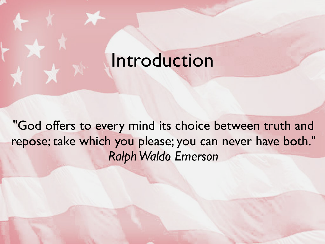#### Introduction

"God offers to every mind its choice between truth and repose; take which you please; you can never have both." *Ralph Waldo Emerson*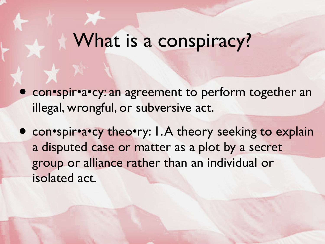### What is a conspiracy?

- con•spir•a•cy: an agreement to perform together an illegal, wrongful, or subversive act.
- con•spir•a•cy theo•ry: 1.A theory seeking to explain a disputed case or matter as a plot by a secret group or alliance rather than an individual or isolated act.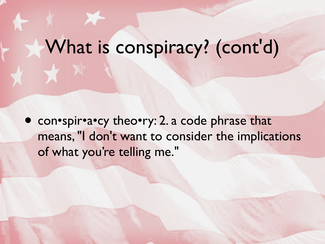#### What is conspiracy? (cont'd)

• con•spir•a•cy theo•ry: 2. a code phrase that means,"I don't want to consider the implications of what you're telling me. "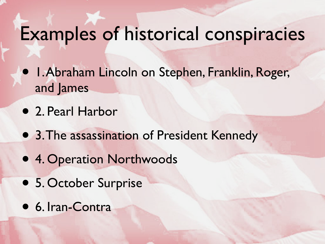### Examples of historical conspiracies

- 1.Abraham Lincoln on Stephen, Franklin, Roger, and James
- 2. Pearl Harbor
- 3.The assassination of President Kennedy
- 4. Operation Northwoods
- 5. October Surprise
- 6. Iran-Contra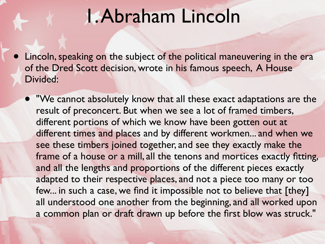### 1.Abraham Lincoln

- Lincoln, speaking on the subject of the political maneuvering in the era of the Dred Scott decision, wrote in his famous speech, A House Divided:
	- "We cannot absolutely know that all these exact adaptations are the result of preconcert. But when we see a lot of framed timbers, different portions of which we know have been gotten out at different times and places and by different workmen... and when we see these timbers joined together, and see they exactly make the frame of a house or a mill, all the tenons and mortices exactly fitting, and all the lengths and proportions of the different pieces exactly adapted to their respective places, and not a piece too many or too few... in such a case, we find it impossible not to believe that [they] all understood one another from the beginning, and all worked upon a common plan or draft drawn up before the first blow was struck."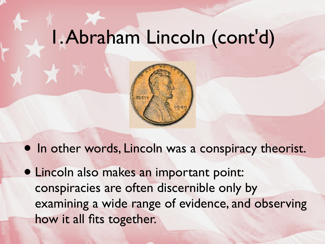# 1.Abraham Lincoln (cont'd)



- In other words, Lincoln was a conspiracy theorist.
- Lincoln also makes an important point: conspiracies are often discernible only by examining a wide range of evidence, and observing how it all fits together.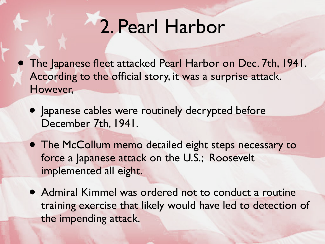## 2. Pearl Harbor

- The Japanese fleet attacked Pearl Harbor on Dec. 7th, 1941. According to the official story, it was a surprise attack. However,
	- Japanese cables were routinely decrypted before December 7th, 1941.
	- The McCollum memo detailed eight steps necessary to force a Japanese attack on the U.S.; Roosevelt implemented all eight.
	- Admiral Kimmel was ordered not to conduct a routine training exercise that likely would have led to detection of the impending attack.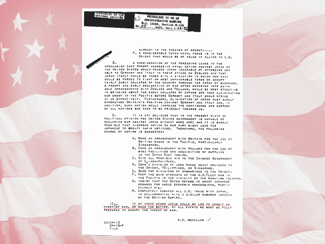

ALREADY IN THE THEATER OF OPERATIONS. F. A CONSIDERABLE DUTCH NAVAL FORCE IS IN THE ORIENT THAT WOULD BE OF VALUE IF ALLIED TO U.S.

A CONSIDERATION OF THE FOREGOING LEADS TO THE CONCLUSION THAT PROMPT ASSRESSIVE NAVAL ACTION AGAINST JAPAN BY THE UNITED STATES WOULD RENDER JAPAN INCAPABLE OF AFFORDING ANY HELP TO GERMANY AND ITALY IN THEIR ATTACK ON ENGLAND AND THAT JAPAN ITSELF WOULD BE FACED WITH A SITUATION IN WHICH HER NAVY GOULD BE FORGED TO FIGHT ON HOST UNFAVORABLE TERMS OR ACCEPT FAIRLY EARLY COLLAPSE OF THE COUNTRY THROUGH THE FORCE OF BLOCKADE. A PROUPT AND EARLY DECLARATION OF WAR AFTER ENTERING INTO SUIT-ABLE ARRANGEMENTS WITH ENGLAND AND HOLLAND, WOULD BE MOST EFFECTIVE IN BRINGING ABOUT THE EARLY COLLAPSE OF JAPANS AND THUS ELEIMINATING OUR ENEMY IN THE PACIFIC BEFORE GERMANY AND ITALY COULD STRIKE AT US EFFECTIVELY. FURTHERMORE, ELIMINATION OF JAPAN MUST SURELY STRENGTHEN BRITAIN'S POSITION AGAINST GERMANY AND ITALY AND, IN ADDITION, SUCH ACTION WOULD INCREASE THE CONFIDENCE AND SUPPORT OF ALL NATIONS WHO TEND TO BE FRIENDLY TOWARDS US.

IT IS NOT BELIEVED THAT IN THE PRESENT STATE OF POLITICAL OPINION THE UNITED STATES COVERNMENT IS CAPABLE OF DECLARING WAR AGAINST JAPAN WITHOUT MORE ADOS AND IT IS BARELY POSSIBLE THAT VIGOROUS ACTICH ON OUR PART MIGHT LEAD THE JAPANESE TO BOOSFY THEIR ARTITUDE. THEREFORE, THE FOLLOWING COURSE OF ACTION IS SUGGESTED:

- A. MAKE AN ARRANGEMENT WITH BRITAIN FOR THE USE OF SRITISH BASES IN THE PACIFIC, PARTICULARLY SINGAGPORE.
- B. MAKE AN ARRANGEMENT WITH HOLLAND FOR THE USE OF BASE FACILITIES AND ACQUISITION OF SUPPLIES IN THE DUTCH EAST INDIES.
- C. GIVE ALL POSSIBLE AID TO THE CHINESE GOVERNMENT OF C<sub>H</sub>IANG-KAI-SHEK.
- D. SENG A DIVISION OF LONG RANGE HEAVY CRUISERS TO THE ORIENT, PHILIPPINES, OR SINGAPORE.
- E. SENG TWO DIVISIONS OF SUBMARINES TO THE ORIENT.
- F. KEEP THE MAIN STRENGTH OF THE U.S. FLEET NOW IN THE PACIFIC IN THE VICINITY OF THE HAWAIIAN ISLANDS.
- G. INSIST THAT THE DUTCH REFUSE TO GRANT JAPANESE DEMANDS FOR UNDUE ECONOMIC CONCESSIONS, PARTI-CULARLY 01%.
- H. COMPLETELY EMBARGO ALL U.S. TRADE WITH JAPAN, IN COLLABORATION WITH A SIMILAR EMBARGO IMPOSED BY THE BRITISH EMPIRE.

IO<sub>PC</sub>Y **IF BY THESE MEANS JAPAN COULD BE LED TO COMMIT AN**<br>OVERTIOF WAR, SO MUCH THE BETTER, AT ALL EVENTS WE MUST BE FULLY IF BY THESE MEANS JAPAN COULD BE LED TO COMMIT AN PREPARED TO ACCEPT THE THREAT OF WAR.

 $CC=CP-16$  $0 + - 16 - F$ FILE

A.H. MCCOLLUM /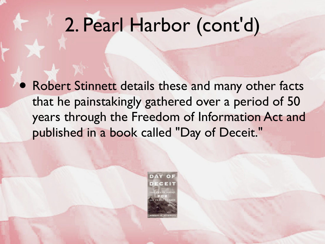### 2. Pearl Harbor (cont'd)

• Robert Stinnett details these and many other facts that he painstakingly gathered over a period of 50 years through the Freedom of Information Act and published in a book called "Day of Deceit."

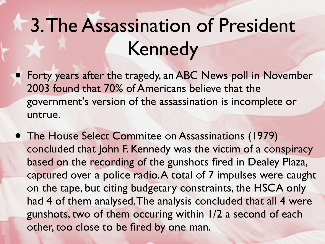# 3.The Assassination of President Kennedy

- Forty years after the tragedy, an ABC News poll in November 2003 found that 70% of Americans believe that the government's version of the assassination is incomplete or untrue.
- The House Select Commitee on Assassinations (1979) concluded that John F. Kennedy was the victim of a conspiracy based on the recording of the gunshots fired in Dealey Plaza, captured over a police radio.A total of 7 impulses were caught on the tape, but citing budgetary constraints, the HSCA only had 4 of them analysed. The analysis concluded that all 4 were gunshots, two of them occuring within 1/2 a second of each other, too close to be fired by one man.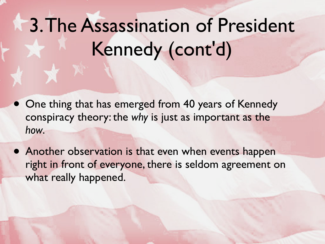# 3.The Assassination of President Kennedy (cont'd)

- One thing that has emerged from 40 years of Kennedy conspiracy theory: the *why* is just as important as the *how*.
- Another observation is that even when events happen right in front of everyone, there is seldom agreement on what really happened.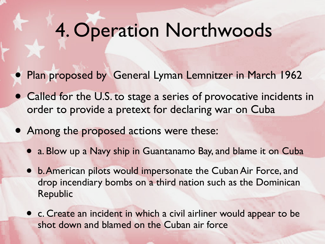## 4. Operation Northwoods

- Plan proposed by General Lyman Lemnitzer in March 1962
- Called for the U.S. to stage a series of provocative incidents in order to provide a pretext for declaring war on Cuba
- Among the proposed actions were these:
	- a. Blow up a Navy ship in Guantanamo Bay, and blame it on Cuba
	- b.American pilots would impersonate the Cuban Air Force, and drop incendiary bombs on a third nation such as the Dominican Republic
	- c. Create an incident in which a civil airliner would appear to be shot down and blamed on the Cuban air force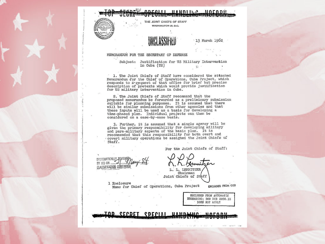

 $\ddot{\phantom{a}}$ 

THE JOINT CHIEFS OF STAFF WASHINGTON 25, D.C.

SFORF CPECIAL HANDLING NOFORK

13 March 1962

 $1.1 - 1.1$ 

#### MEMORANDUM FOR THE SECRETARY OF DEFENSE

Subject: Justification for US Military Intervention in Cuba  $(TS)$  $f$ :

1. The Joint Chiefs of Staff have considered the attached Memorandum for the Chief of Operations, Cuba Project, which responds to a request of that office for brief but precise description of pretexts which would provide justification for US military intervention in Cuba.

2. The Joint Chiefs of Staff recommend that the proposed memorandum be forwarded as a preliminary submission suitable for planning purposes. It is assumed that there will be similar submissions from other agencies and that these inputs will be used as a basis for developing a time-phased plan. Individual projects can then be considered on a case-by-case basis.

3. Further, it is assumed that a single agency will be given the primary responsibility for developing military and para-military aspects of the basic plan. It is recommended that this responsibility for both overt and covert military operations be assigned the Joint Chiefs of Staff.

For the Joint Chiefs of Staff:

SYSTEMATICALLY REVIEWED CLASSIFICATION CONTINUED

TAD CEPDET

 $\frac{1}{2}$   $\frac{1}{2}$ 

L. L. LEMNITZER Chairman Joint Chiefs of Staff

1 Enclosure Memo for Chief of Operations, Cuba Project

**EXCLUDED FROM GDS** 

EXCLUDED FROM AUTOMATIC REGRADING; DOD DIR 5200.10 DOES NOT APPLY

UANDLUMO MOTODM **PATTLE INTERNATIONAL PROPERTY** 

Since an an annual car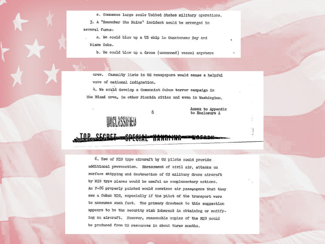c. Commence large scale United States military operations.

3. A "Remember the Maine" incident could be arranged in several forms:

a. We could blow up a US ship in Guantanamo Bay and blame Cuba.

b. We could blow up a drone (unmanned) vessel anywhere

Casualty lists in US newspapers would cause a helpful crew. wave of national indignation.

4. We could develop a Communist Cuban terror campaign in the Miami area, in other Florida cities and even in Washington.

8



Annex to Appendix to Enclosure A

 $\sim 3$ 

#### O.P. SECRET- SPECIAL INTERNATION MERESAIR E. G. Deliverante

6. Use of MIG type aircraft by US pilots could provide. additional provocation. Harassment of civil air, attacks on surface shipping and destruction of US military drone aircraft by MIG type planes would be useful as complementary actions. An F-86 properly painted would convince air passengers that they saw a Cuban MIG, especially if the pilot of the transport were to announce such fact. The primary drawback to this suggestion appears to be the security risk inherent in obtaining or modifying an aircraft. However, reasonable copies of the MIG could be produced from US resources in about three months.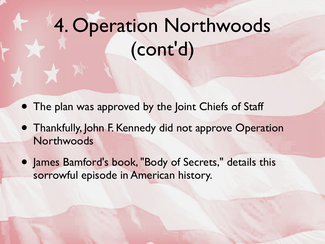# 4. Operation Northwoods (cont'd)

- The plan was approved by the Joint Chiefs of Staff
- Thankfully, John F. Kennedy did not approve Operation Northwoods
- James Bamford's book,"Body of Secrets," details this sorrowful episode in American history.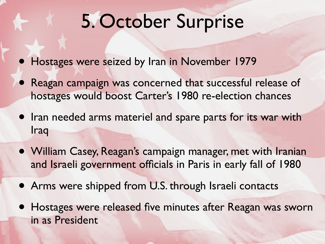# 5. October Surprise

- Hostages were seized by Iran in November 1979
- Reagan campaign was concerned that successful release of hostages would boost Carter's 1980 re-election chances
- Iran needed arms materiel and spare parts for its war with Iraq
- William Casey, Reagan's campaign manager, met with Iranian and Israeli government officials in Paris in early fall of 1980
- Arms were shipped from U.S. through Israeli contacts
- Hostages were released five minutes after Reagan was sworn in as President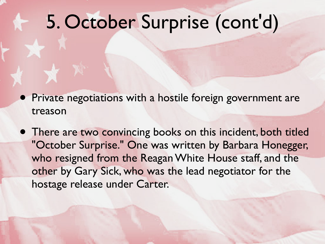## 5. October Surprise (cont'd)

- Private negotiations with a hostile foreign government are treason
- There are two convincing books on this incident, both titled "October Surprise." One was written by Barbara Honegger, who resigned from the Reagan White House staff, and the other by Gary Sick, who was the lead negotiator for the hostage release under Carter.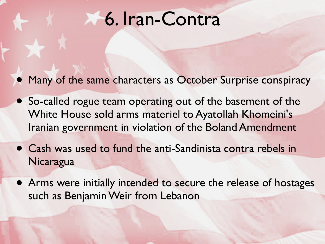#### 6. Iran-Contra

- Many of the same characters as October Surprise conspiracy
- So-called rogue team operating out of the basement of the White House sold arms materiel to Ayatollah Khomeini's Iranian government in violation of the Boland Amendment
- Cash was used to fund the anti-Sandinista contra rebels in Nicaragua
- Arms were initially intended to secure the release of hostages such as Benjamin Weir from Lebanon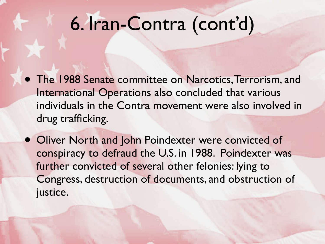## 6. Iran-Contra (cont'd)

- The 1988 Senate committee on Narcotics,Terrorism, and International Operations also concluded that various individuals in the Contra movement were also involved in drug trafficking.
- Oliver North and John Poindexter were convicted of conspiracy to defraud the U.S. in 1988. Poindexter was further convicted of several other felonies: lying to Congress, destruction of documents, and obstruction of justice.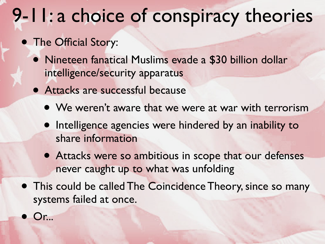### 9-11: a choice of conspiracy theories

- The Official Story:
	- Nineteen fanatical Muslims evade a \$30 billion dollar intelligence/security apparatus
	- Attacks are successful because
		- We weren't aware that we were at war with terrorism
		- Intelligence agencies were hindered by an inability to share information
		- Attacks were so ambitious in scope that our defenses never caught up to what was unfolding
- This could be called The Coincidence Theory, since so many systems failed at once.
- Or...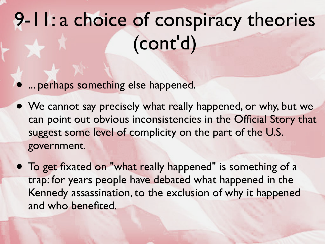# 9-11: a choice of conspiracy theories (cont'd)

• ... perhaps something else happened.

- We cannot say precisely what really happened, or why, but we can point out obvious inconsistencies in the Official Story that suggest some level of complicity on the part of the U.S. government.
- To get fixated on "what really happened" is something of a trap: for years people have debated what happened in the Kennedy assassination, to the exclusion of why it happened and who benefited.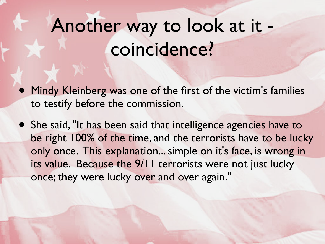# Another way to look at it coincidence?

- Mindy Kleinberg was one of the first of the victim's families to testify before the commission.
- She said,"It has been said that intelligence agencies have to be right 100% of the time, and the terrorists have to be lucky only once. This explanation... simple on it's face, is wrong in its value. Because the 9/11 terrorists were not just lucky once; they were lucky over and over again."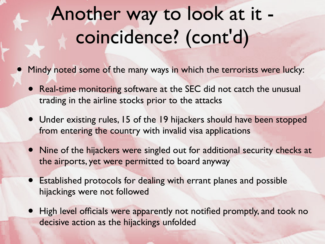# Another way to look at it coincidence? (cont'd)

- Mindy noted some of the many ways in which the terrorists were lucky:
	- Real-time monitoring software at the SEC did not catch the unusual trading in the airline stocks prior to the attacks
	- Under existing rules, 15 of the 19 hijackers should have been stopped from entering the country with invalid visa applications
	- Nine of the hijackers were singled out for additional security checks at the airports, yet were permitted to board anyway
	- Established protocols for dealing with errant planes and possible hijackings were not followed
	- High level officials were apparently not notified promptly, and took no decisive action as the hijackings unfolded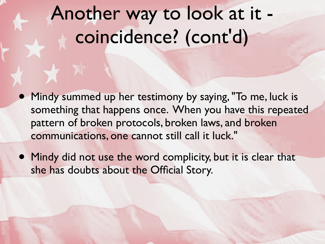# Another way to look at it coincidence? (cont'd)

- Mindy summed up her testimony by saying, "To me, luck is something that happens once. When you have this repeated pattern of broken protocols, broken laws, and broken communications, one cannot still call it luck."
- Mindy did not use the word complicity, but it is clear that she has doubts about the Official Story.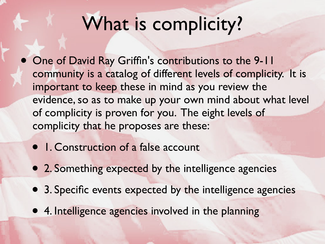## What is complicity?

- One of David Ray Griffin's contributions to the 9-11 community is a catalog of different levels of complicity. It is important to keep these in mind as you review the evidence, so as to make up your own mind about what level of complicity is proven for you. The eight levels of complicity that he proposes are these:
	- 1. Construction of a false account
	- 2. Something expected by the intelligence agencies
	- 3. Specific events expected by the intelligence agencies
	- 4. Intelligence agencies involved in the planning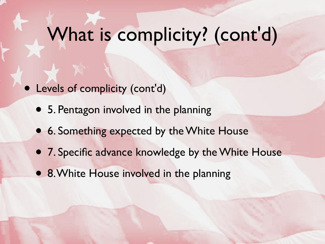## What is complicity? (cont'd)

- Levels of complicity (cont'd)
	- 5. Pentagon involved in the planning
	- 6. Something expected by the White House
	- 7. Specific advance knowledge by the White House
	- 8. White House involved in the planning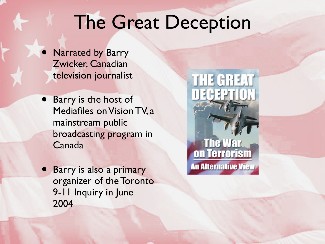## The Great Deception

- Narrated by Barry Zwicker, Canadian television journalist
- Barry is the host of Mediafiles on Vision TV, a mainstream public broadcasting program in Canada
- Barry is also a primary organizer of the Toronto 9-11 Inquiry in June 2004

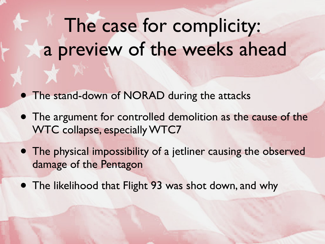# The case for complicity: a preview of the weeks ahead

- The stand-down of NORAD during the attacks
- The argument for controlled demolition as the cause of the WTC collapse, especially WTC7
- The physical impossibility of a jetliner causing the observed damage of the Pentagon
- The likelihood that Flight 93 was shot down, and why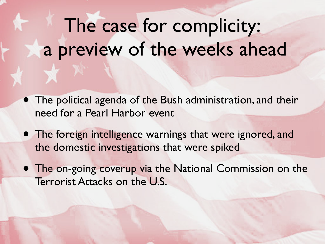# The case for complicity: a preview of the weeks ahead

- The political agenda of the Bush administration, and their need for a Pearl Harbor event
- The foreign intelligence warnings that were ignored, and the domestic investigations that were spiked
- The on-going coverup via the National Commission on the Terrorist Attacks on the U.S.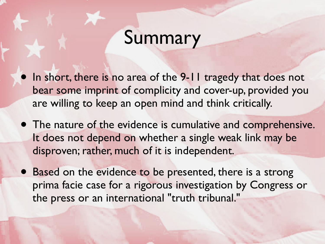#### Summary

- In short, there is no area of the 9-11 tragedy that does not bear some imprint of complicity and cover-up, provided you are willing to keep an open mind and think critically.
- The nature of the evidence is cumulative and comprehensive. It does not depend on whether a single weak link may be disproven; rather, much of it is independent.
- Based on the evidence to be presented, there is a strong prima facie case for a rigorous investigation by Congress or the press or an international "truth tribunal."